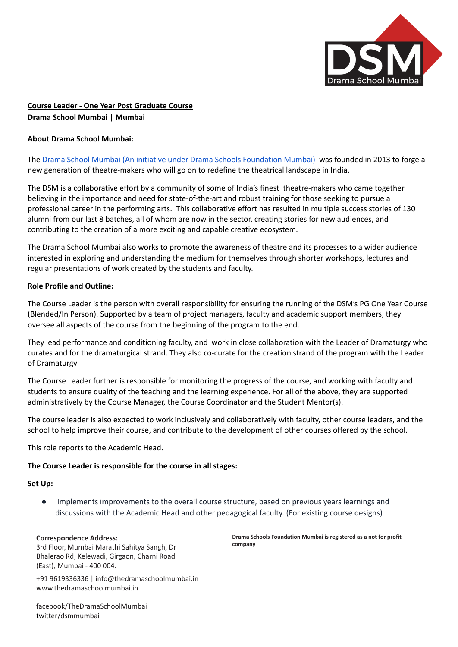

# **Course Leader - One Year Post Graduate Course Drama School Mumbai | Mumbai**

### **About Drama School Mumbai:**

The Drama School Mumbai (An initiative under Drama Schools [Foundation](https://dramaschoolmumbai.in/) Mumbai) was founded in 2013 to forge a new generation of theatre-makers who will go on to redefine the theatrical landscape in India.

The DSM is a collaborative effort by a community of some of India's finest theatre-makers who came together believing in the importance and need for state-of-the-art and robust training for those seeking to pursue a professional career in the performing arts. This collaborative effort has resulted in multiple success stories of 130 alumni from our last 8 batches, all of whom are now in the sector, creating stories for new audiences, and contributing to the creation of a more exciting and capable creative ecosystem.

The Drama School Mumbai also works to promote the awareness of theatre and its processes to a wider audience interested in exploring and understanding the medium for themselves through shorter workshops, lectures and regular presentations of work created by the students and faculty.

### **Role Profile and Outline:**

The Course Leader is the person with overall responsibility for ensuring the running of the DSM's PG One Year Course (Blended/In Person). Supported by a team of project managers, faculty and academic support members, they oversee all aspects of the course from the beginning of the program to the end.

They lead performance and conditioning faculty, and work in close collaboration with the Leader of Dramaturgy who curates and for the dramaturgical strand. They also co-curate for the creation strand of the program with the Leader of Dramaturgy

The Course Leader further is responsible for monitoring the progress of the course, and working with faculty and students to ensure quality of the teaching and the learning experience. For all of the above, they are supported administratively by the Course Manager, the Course Coordinator and the Student Mentor(s).

The course leader is also expected to work inclusively and collaboratively with faculty, other course leaders, and the school to help improve their course, and contribute to the development of other courses offered by the school.

This role reports to the Academic Head.

## **The Course Leader is responsible for the course in all stages:**

# **Set Up:**

● Implements improvements to the overall course structure, based on previous years learnings and discussions with the Academic Head and other pedagogical faculty. (For existing course designs)

# **Correspondence Address:**

3rd Floor, Mumbai Marathi Sahitya Sangh, Dr Bhalerao Rd, Kelewadi, Girgaon, Charni Road (East), Mumbai - 400 004.

**Drama Schools Foundation Mumbai is registered as a not for profit company**

+91 9619336336 | [info@thedramaschoolmumbai.in](mailto:info@thedramaschoolmumbai.in) [www.thedramaschoolmumbai.in](http://www.thedramaschoolmumbai.in/)

facebook/TheDramaSchoolMumbai twitter/dsmmumbai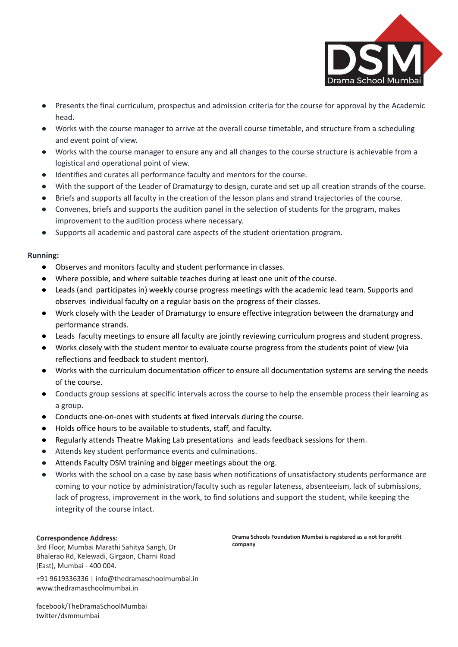

- Presents the final curriculum, prospectus and admission criteria for the course for approval by the Academic head.
- Works with the course manager to arrive at the overall course timetable, and structure from a scheduling and event point of view.
- Works with the course manager to ensure any and all changes to the course structure is achievable from a logistical and operational point of view.
- Identifies and curates all performance faculty and mentors for the course.
- With the support of the Leader of Dramaturgy to design, curate and set up all creation strands of the course.
- Briefs and supports all faculty in the creation of the lesson plans and strand trajectories of the course.
- Convenes, briefs and supports the audition panel in the selection of students for the program, makes improvement to the audition process where necessary.
- Supports all academic and pastoral care aspects of the student orientation program.

## **Running:**

- Observes and monitors faculty and student performance in classes.
- Where possible, and where suitable teaches during at least one unit of the course.
- Leads (and participates in) weekly course progress meetings with the academic lead team. Supports and observes individual faculty on a regular basis on the progress of their classes.
- Work closely with the Leader of Dramaturgy to ensure effective integration between the dramaturgy and performance strands.
- Leads faculty meetings to ensure all faculty are jointly reviewing curriculum progress and student progress.
- Works closely with the student mentor to evaluate course progress from the students point of view (via reflections and feedback to student mentor).
- Works with the curriculum documentation officer to ensure all documentation systems are serving the needs of the course.
- Conducts group sessions at specific intervals across the course to help the ensemble process their learning as a group.
- Conducts one-on-ones with students at fixed intervals during the course.
- Holds office hours to be available to students, staff, and faculty.
- Regularly attends Theatre Making Lab presentations and leads feedback sessions for them.
- Attends key student performance events and culminations.
- Attends Faculty DSM training and bigger meetings about the org.
- Works with the school on a case by case basis when notifications of unsatisfactory students performance are coming to your notice by administration/faculty such as regular lateness, absenteeism, lack of submissions, lack of progress, improvement in the work, to find solutions and support the student, while keeping the integrity of the course intact.

#### **Correspondence Address:**

3rd Floor, Mumbai Marathi Sahitya Sangh, Dr Bhalerao Rd, Kelewadi, Girgaon, Charni Road (East), Mumbai - 400 004.

+91 9619336336 | [info@thedramaschoolmumbai.in](mailto:info@thedramaschoolmumbai.in) [www.thedramaschoolmumbai.in](http://www.thedramaschoolmumbai.in/)

**Drama Schools Foundation Mumbai is registered as a not for profit company**

facebook/TheDramaSchoolMumbai twitter/dsmmumbai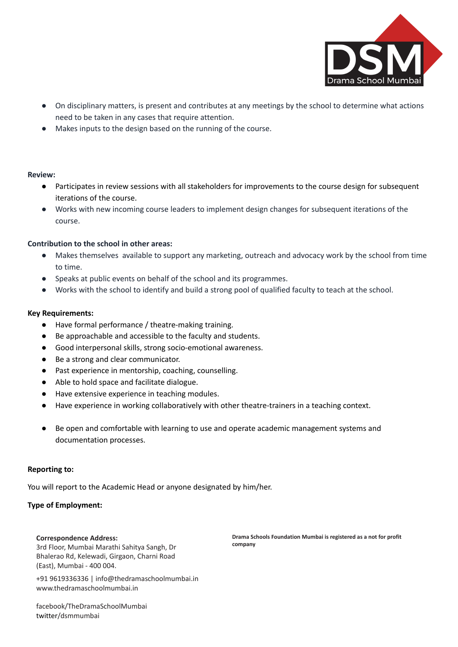

- On disciplinary matters, is present and contributes at any meetings by the school to determine what actions need to be taken in any cases that require attention.
- Makes inputs to the design based on the running of the course.

### **Review:**

- Participates in review sessions with all stakeholders for improvements to the course design for subsequent iterations of the course.
- Works with new incoming course leaders to implement design changes for subsequent iterations of the course.

## **Contribution to the school in other areas:**

- Makes themselves available to support any marketing, outreach and advocacy work by the school from time to time.
- Speaks at public events on behalf of the school and its programmes.
- Works with the school to identify and build a strong pool of qualified faculty to teach at the school.

### **Key Requirements:**

- Have formal performance / theatre-making training.
- Be approachable and accessible to the faculty and students.
- Good interpersonal skills, strong socio-emotional awareness.
- Be a strong and clear communicator.
- Past experience in mentorship, coaching, counselling.
- Able to hold space and facilitate dialogue.
- Have extensive experience in teaching modules.
- Have experience in working collaboratively with other theatre-trainers in a teaching context.
- Be open and comfortable with learning to use and operate academic management systems and documentation processes.

#### **Reporting to:**

You will report to the Academic Head or anyone designated by him/her.

## **Type of Employment:**

#### **Correspondence Address:**

3rd Floor, Mumbai Marathi Sahitya Sangh, Dr Bhalerao Rd, Kelewadi, Girgaon, Charni Road (East), Mumbai - 400 004.

+91 9619336336 | [info@thedramaschoolmumbai.in](mailto:info@thedramaschoolmumbai.in) [www.thedramaschoolmumbai.in](http://www.thedramaschoolmumbai.in/)

facebook/TheDramaSchoolMumbai twitter/dsmmumbai

**Drama Schools Foundation Mumbai is registered as a not for profit company**